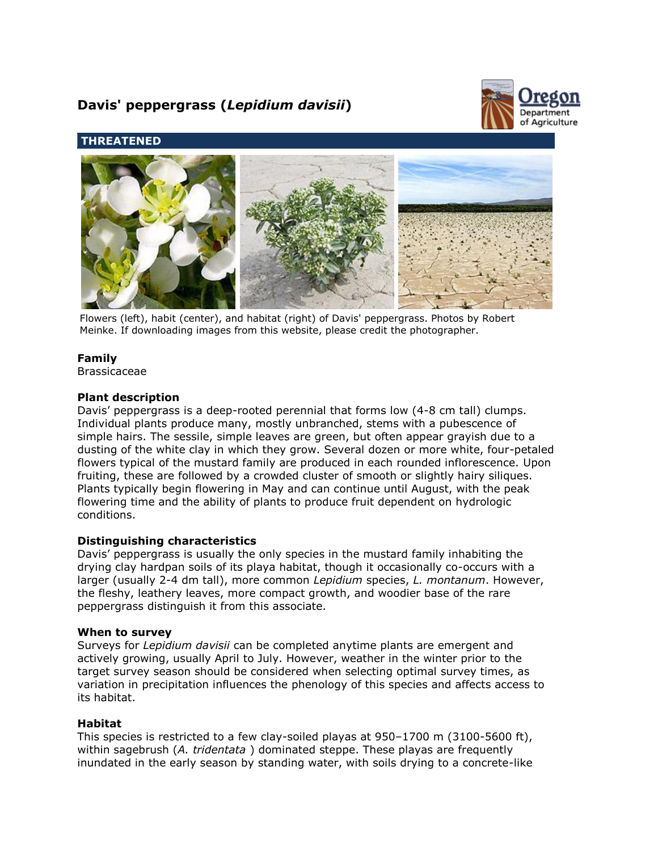# **Davis' peppergrass (***Lepidium davisii***)**



## **THREATENED**



Flowers (left), habit (center), and habitat (right) of Davis' peppergrass. Photos by Robert Meinke. If downloading images from this website, please credit the photographer.

## **Family**

Brassicaceae

## **Plant description**

Davis' peppergrass is a deep-rooted perennial that forms low (4-8 cm tall) clumps. Individual plants produce many, mostly unbranched, stems with a pubescence of simple hairs. The sessile, simple leaves are green, but often appear grayish due to a dusting of the white clay in which they grow. Several dozen or more white, four-petaled flowers typical of the mustard family are produced in each rounded inflorescence. Upon fruiting, these are followed by a crowded cluster of smooth or slightly hairy siliques. Plants typically begin flowering in May and can continue until August, with the peak flowering time and the ability of plants to produce fruit dependent on hydrologic conditions.

## **Distinguishing characteristics**

Davis' peppergrass is usually the only species in the mustard family inhabiting the drying clay hardpan soils of its playa habitat, though it occasionally co-occurs with a larger (usually 2-4 dm tall), more common *Lepidium* species, *L. montanum*. However, the fleshy, leathery leaves, more compact growth, and woodier base of the rare peppergrass distinguish it from this associate.

## **When to survey**

Surveys for *Lepidium davisii* can be completed anytime plants are emergent and actively growing, usually April to July. However, weather in the winter prior to the target survey season should be considered when selecting optimal survey times, as variation in precipitation influences the phenology of this species and affects access to its habitat.

## **Habitat**

This species is restricted to a few clay-soiled playas at 950–1700 m (3100-5600 ft), within sagebrush (*A. tridentata* ) dominated steppe. These playas are frequently inundated in the early season by standing water, with soils drying to a concrete-like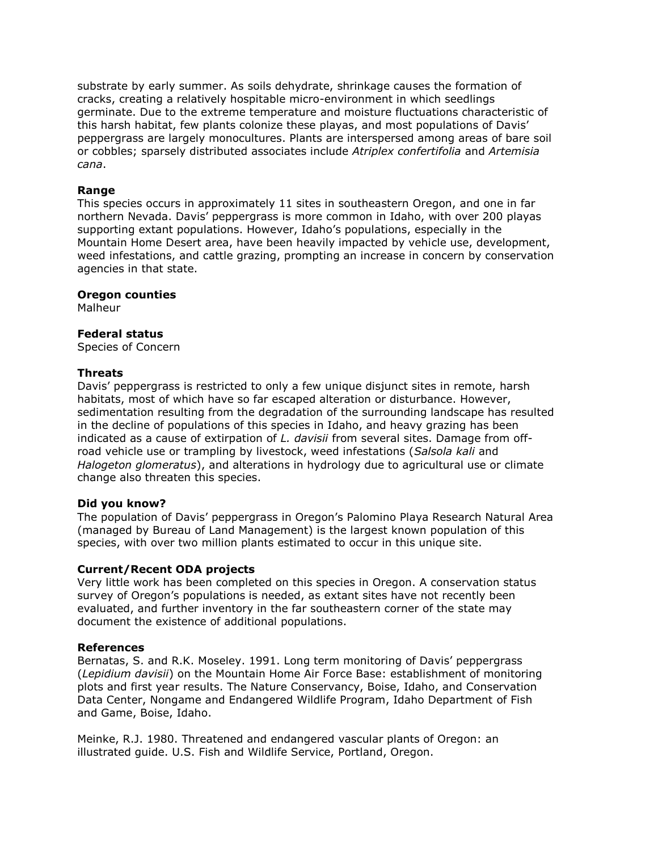substrate by early summer. As soils dehydrate, shrinkage causes the formation of cracks, creating a relatively hospitable micro-environment in which seedlings germinate. Due to the extreme temperature and moisture fluctuations characteristic of this harsh habitat, few plants colonize these playas, and most populations of Davis' peppergrass are largely monocultures. Plants are interspersed among areas of bare soil or cobbles; sparsely distributed associates include *Atriplex confertifolia* and *Artemisia cana*.

#### **Range**

This species occurs in approximately 11 sites in southeastern Oregon, and one in far northern Nevada. Davis' peppergrass is more common in Idaho, with over 200 playas supporting extant populations. However, Idaho's populations, especially in the Mountain Home Desert area, have been heavily impacted by vehicle use, development, weed infestations, and cattle grazing, prompting an increase in concern by conservation agencies in that state.

#### **Oregon counties**

Malheur

## **Federal status**

Species of Concern

#### **Threats**

Davis' peppergrass is restricted to only a few unique disjunct sites in remote, harsh habitats, most of which have so far escaped alteration or disturbance. However, sedimentation resulting from the degradation of the surrounding landscape has resulted in the decline of populations of this species in Idaho, and heavy grazing has been indicated as a cause of extirpation of *L. davisii* from several sites. Damage from offroad vehicle use or trampling by livestock, weed infestations (*Salsola kali* and *Halogeton glomeratus*), and alterations in hydrology due to agricultural use or climate change also threaten this species.

## **Did you know?**

The population of Davis' peppergrass in Oregon's Palomino Playa Research Natural Area (managed by Bureau of Land Management) is the largest known population of this species, with over two million plants estimated to occur in this unique site.

#### **Current/Recent ODA projects**

Very little work has been completed on this species in Oregon. A conservation status survey of Oregon's populations is needed, as extant sites have not recently been evaluated, and further inventory in the far southeastern corner of the state may document the existence of additional populations.

## **References**

Bernatas, S. and R.K. Moseley. 1991. Long term monitoring of Davis' peppergrass (*Lepidium davisii*) on the Mountain Home Air Force Base: establishment of monitoring plots and first year results. The Nature Conservancy, Boise, Idaho, and Conservation Data Center, Nongame and Endangered Wildlife Program, Idaho Department of Fish and Game, Boise, Idaho.

Meinke, R.J. 1980. Threatened and endangered vascular plants of Oregon: an illustrated guide. U.S. Fish and Wildlife Service, Portland, Oregon.